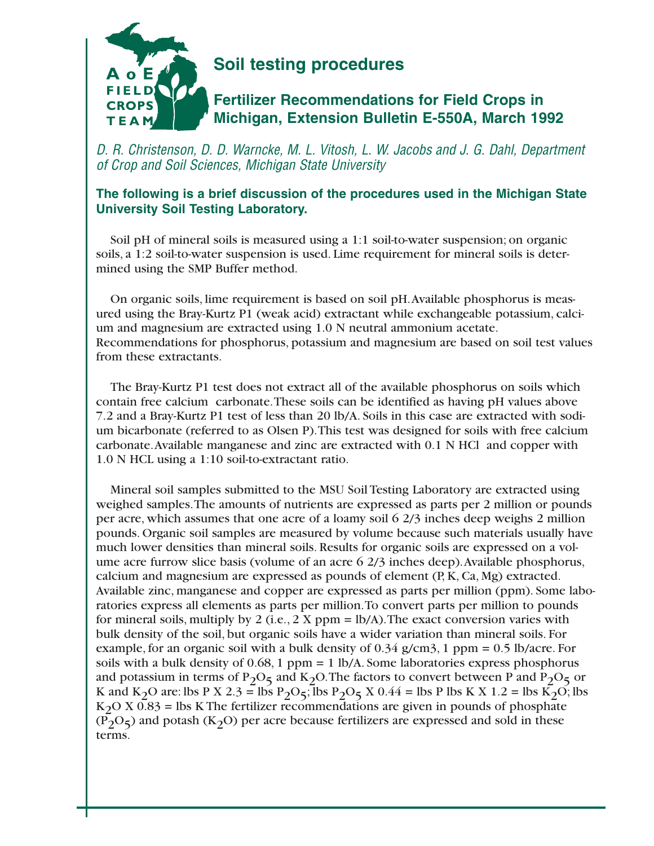

## **Soil testing procedures**

## **Fertilizer Recommendations for Field Crops in Michigan, Extension Bulletin E-550A, March 1992**

D. R. Christenson, D. D. Warncke, M. L. Vitosh, L. W. Jacobs and J. G. Dahl, Department of Crop and Soil Sciences, Michigan State University

## **The following is a brief discussion of the procedures used in the Michigan State University Soil Testing Laboratory.**

Soil pH of mineral soils is measured using a 1:1 soil-to-water suspension; on organic soils, a 1:2 soil-to-water suspension is used. Lime requirement for mineral soils is determined using the SMP Buffer method.

On organic soils, lime requirement is based on soil pH.Available phosphorus is measured using the Bray-Kurtz P1 (weak acid) extractant while exchangeable potassium, calcium and magnesium are extracted using 1.0 N neutral ammonium acetate. Recommendations for phosphorus, potassium and magnesium are based on soil test values from these extractants.

The Bray-Kurtz P1 test does not extract all of the available phosphorus on soils which contain free calcium carbonate.These soils can be identified as having pH values above 7.2 and a Bray-Kurtz P1 test of less than 20 lb/A. Soils in this case are extracted with sodium bicarbonate (referred to as Olsen P).This test was designed for soils with free calcium carbonate.Available manganese and zinc are extracted with 0.1 N HCl and copper with 1.0 N HCL using a 1:10 soil-to-extractant ratio.

Mineral soil samples submitted to the MSU Soil Testing Laboratory are extracted using weighed samples.The amounts of nutrients are expressed as parts per 2 million or pounds per acre, which assumes that one acre of a loamy soil 6 2/3 inches deep weighs 2 million pounds. Organic soil samples are measured by volume because such materials usually have much lower densities than mineral soils. Results for organic soils are expressed on a volume acre furrow slice basis (volume of an acre 6 2/3 inches deep).Available phosphorus, calcium and magnesium are expressed as pounds of element  $(P, K, Ca, Mg)$  extracted. Available zinc, manganese and copper are expressed as parts per million (ppm). Some laboratories express all elements as parts per million.To convert parts per million to pounds for mineral soils, multiply by 2 (i.e.,  $2 \text{ X ppm} = \frac{1}{A}$ ). The exact conversion varies with bulk density of the soil, but organic soils have a wider variation than mineral soils. For example, for an organic soil with a bulk density of  $0.34$  g/cm3, 1 ppm =  $0.5$  lb/acre. For soils with a bulk density of 0.68, 1 ppm = 1 lb/A. Some laboratories express phosphorus and potassium in terms of P<sub>2</sub>O<sub>5</sub> and K<sub>2</sub>O. The factors to convert between P and P<sub>2</sub>O<sub>5</sub> or K and K<sub>2</sub>O are: lbs P X 2.3 = lbs P<sub>2</sub>O<sub>5</sub>; lbs P<sub>2</sub>O<sub>5</sub> X 0.44 = lbs P lbs K X 1.2 = lbs K<sub>2</sub>O; lbs  $K<sub>2</sub>O X 0.83 =$  lbs K The fertilizer recommendations are given in pounds of phosphate  $(P_2O_5)$  and potash (K<sub>2</sub>O) per acre because fertilizers are expressed and sold in these terms.